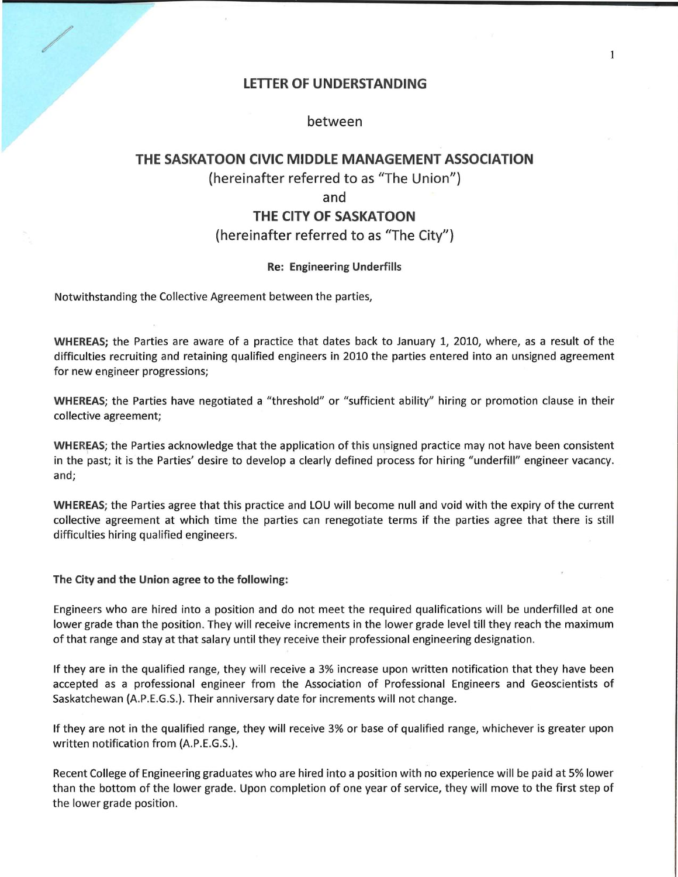### LETTER OF UNDERSTANDING

## between

# THE SASKATOON CIVIC MIDDLE MANAGEMENT ASSOCIATION (hereinafter referred to as "The Union") and THE CITY OF SASKATOON

## (hereinafter referred to as "The City")

#### Re: Engineering Underfills

Notwithstanding the Collective Agreement between the parties,

WHEREAS; the Parties are aware of a practice that dates back to January 1, 2010, where, as a result of the difficulties recruiting and retaining qualified engineers in 2010 the parties entered into an unsigned agreement for new engineer progressions;

WHEREAS; the Parties have negotiated a "threshold" or "sufficient ability" hiring or promotion clause in their collective agreement;

WHEREAS; the Parties acknowledge that the application of this unsigned practice may not have been consistent in the past; it is the Parties' desire to develop a clearly defined process for hiring "underfill" engineer vacancy. and;

WHEREAS; the Parties agree that this practice and LOU will become null and void with the expiry of the current collective agreement at which time the parties can renegotiate terms if the parties agree that there is still difficulties hiring qualified engineers.

The City and the Union agree to the following:

Engineers who are hired into a position and do not meet the required qualifications will be underfilled at one lower grade than the position. They will receive increments in the lower grade level till they reach the maximum of that range and stay at that salary until they receive their professional engineering designation.

If they are in the qualified range, they will receive a 3% increase upon written notification that they have been accepted as a professional engineer from the Association of Professional Engineers and Geoscientists of Saskatchewan (A.P.E.G.S.). Their anniversary date for increments will not change.

If they are not in the qualified range, they will receive 3% or base of qualified range, whichever is greater upon written notification from (A.P.E.G.S.).

Recent College of Engineering graduates who are hired into a position with no experience will be paid at 5% lower than the bottom of the lower grade. Upon completion of one year of service, they will move to the first step of the lower grade position.

 $\mathbf{1}$